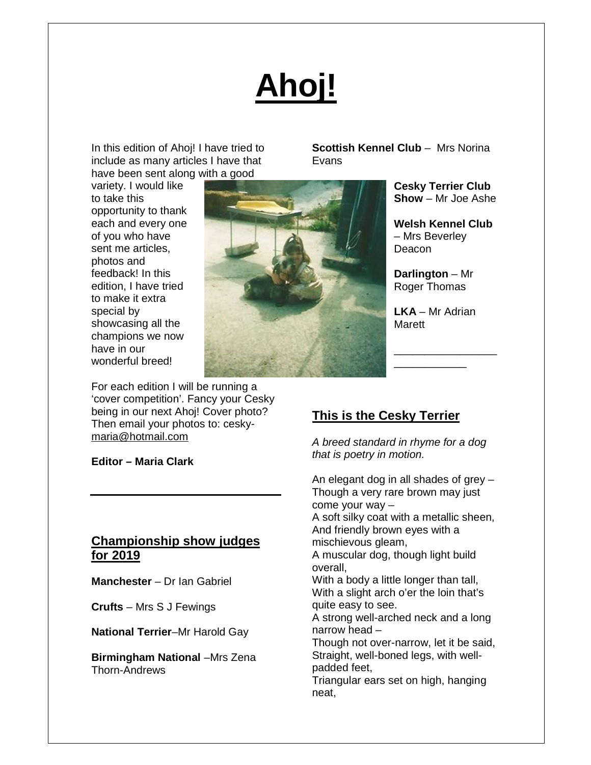# **Ahoj!**

In this edition of Ahoj! I have tried to include as many articles I have that have been sent along with a good

variety. I would like to take this opportunity to thank each and every one of you who have sent me articles, photos and feedback! In this edition, I have tried to make it extra special by showcasing all the champions we now have in our wonderful breed!



**Scottish Kennel Club** – Mrs Norina Evans

> **Cesky Terrier Club Show** – Mr Joe Ashe

**Welsh Kennel Club**  – Mrs Beverley Deacon

**Darlington** – Mr Roger Thomas

**LKA** – Mr Adrian **Marett** 

\_\_\_\_\_\_\_\_\_\_\_\_\_\_\_\_\_ \_\_\_\_\_\_\_\_\_\_\_\_

For each edition I will be running a 'cover competition'. Fancy your Cesky being in our next Ahoj! Cover photo? Then email your photos to: cesky[maria@hotmail.com](mailto:maria@hotmail.com)

**Editor – Maria Clark** 

# **Championship show judges for 2019**

**Manchester** – Dr Ian Gabriel

**Crufts** – Mrs S J Fewings

**National Terrier**–Mr Harold Gay

**Birmingham National** –Mrs Zena Thorn-Andrews

# **This is the Cesky Terrier**

*A breed standard in rhyme for a dog that is poetry in motion.* 

An elegant dog in all shades of grey – Though a very rare brown may just come your way – A soft silky coat with a metallic sheen, And friendly brown eyes with a mischievous gleam, A muscular dog, though light build overall, With a body a little longer than tall, With a slight arch o'er the loin that's quite easy to see. A strong well-arched neck and a long narrow head – Though not over-narrow, let it be said, Straight, well-boned legs, with wellpadded feet, Triangular ears set on high, hanging neat,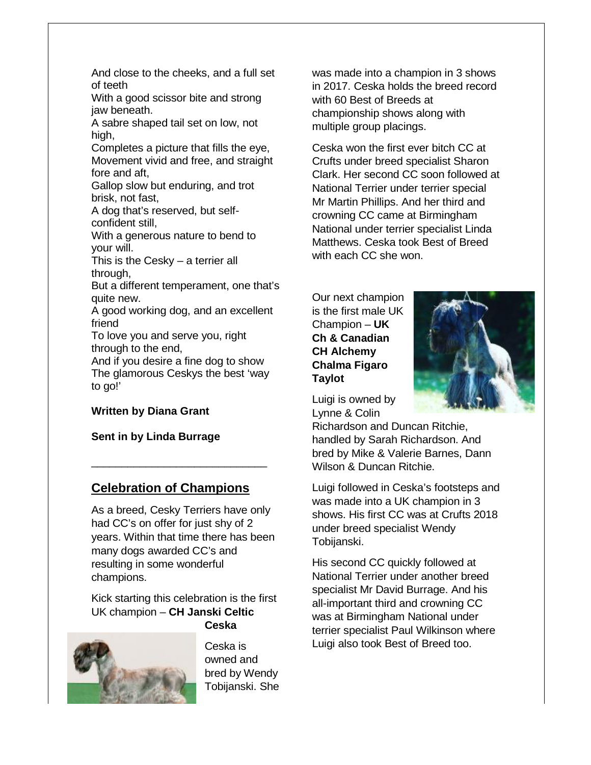And close to the cheeks, and a full set of teeth

With a good scissor bite and strong jaw beneath.

A sabre shaped tail set on low, not high, ood scissor bite and strong<br>sath.<br>shaped tail set on low, not<br>es a picture that fills the eye,

Completes a picture that fills the eye, Movement vivid and free, and straight fore and aft, Movement vivid and free, and<br>fore and aft,<br>Gallop slow but enduring, an<br>brisk, not fast,<br>A dog that's reserved, but se<br>confident still,<br>With a generous nature to be<br>your will.<br>This is the Cesky – a terrier a<br>through,<br>But a

Gallop slow but enduring, and trot brisk, not fast,

A dog that's reserved, but selfconfident still,

With a generous nature to bend to your will.

This is the Cesky  $-$  a terrier all through,

But a different temperament, one that's quite new.

A good working dog, and an excellent friend

To love you and serve you, right through to the end,

And if you desire a fine dog to show The glamorous Ceskys the best 'way to go!'

#### **Written by Diana Grant**

**Sent in by Linda Burrage** 

# **Celebration of Champions**

\_\_\_\_\_\_\_\_\_\_\_\_\_\_\_\_\_\_\_\_\_\_\_\_\_\_\_\_\_

As a breed, Cesky Terriers have only had CC's on offer for just shy of 2 years. Within that time there has been many dogs awarded CC's and resulting in some wonderful champions.

Kick starting this celebration is the first UK champion – **CH Janski Celtic Ceska** 



Ceska is owned and bred by Wendy Tobijanski. She in 2017. Ceska holds the breed record with 60 Best of Breeds at championship shows along with multiple group placings.

does to the cheeks, and a full set<br>
eith<br>
and a condication in 3 champion in 3 shows<br>
in 2017. Ceska holds the breed record<br>
enementh vivid and free, and straight<br>
persea picture that fills the eye,<br>
ceska won the first ev Ceska won the first ever bitch CC at Crufts under breed specialist Sharon Clark. Her second CC soon followed at National Terrier under terrier special Mr Martin Phillips. And her third and crowning CC came at Birmingham Birmingham National under terrier specialist Linda Matthews. Ceska took Best of Breed with each CC she won.

Our next champion is the first male UK Champion – **UK Ch & Canadian CH Alchemy Chalma Figaro Taylot**



Luigi is owned by Lynne & Colin

Richardson and Duncan Ritchie, handled by Sarah Richardson. And bred by Mike & Valerie Barnes, Dann Wilson & Duncan Ritchie.

Luigi followed in Ceska's footsteps and was made into a UK champion in 3 shows. His first CC was at Crufts 2018 under breed specialist Wendy Tobijanski.

His second CC quickly followed at National Terrier under another breed specialist Mr David Burrage. And his all-important third and crowning CC was at Birmingham National under terrier specialist Paul Wilkinson where Luigi also took Best of Breed too.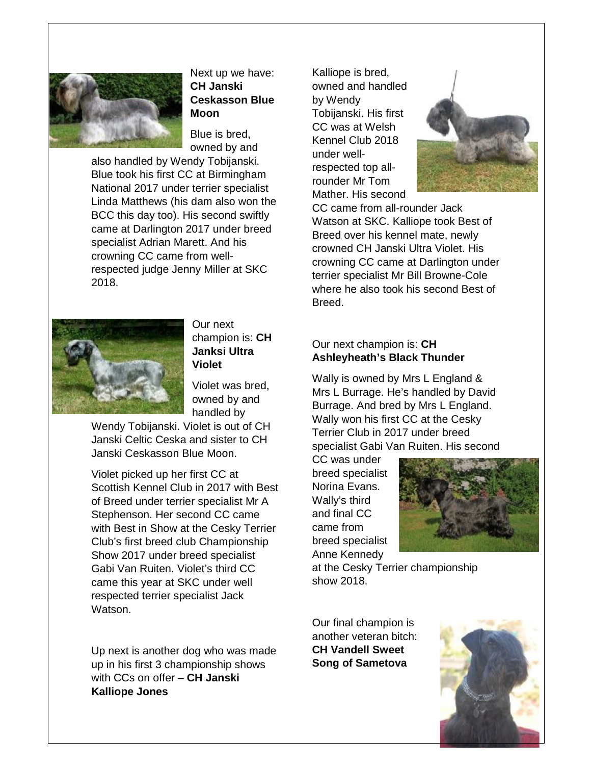

Next up we have: **CH Janski Ceskasson Blue Moon**

Blue is bred, owned by and

also handled by Wendy Tobijanski. Blue took his first CC at Birmingham National 2017 under terrier specialist Linda Matthews (his dam also won the BCC this day too). His second swiftly came at Darlington 2017 under breed specialist Adrian Marett. And his crowning CC came from wellrespected judge Jenny Miller at SKC 2018.



Our next champion is: **CH Janksi Ultra Violet**

Violet was bred, owned by and handled by

Wendy Tobijanski. Violet is out of CH Janski Celtic Ceska and sister to CH Janski Ceskasson Blue Moon.

Violet picked up her first CC at Scottish Kennel Club in 2017 with Best of Breed under terrier specialist Mr A Stephenson. Her second CC came with Best in Show at the Cesky Terrier Club's first breed club Championship Show 2017 under breed specialist Gabi Van Ruiten. Violet's third CC came this year at SKC under well respected terrier specialist Jack Watson.

Up next is another dog who was made up in his first 3 championship shows with CCs on offer – **CH Janski Kalliope Jones**

Kalliope is bred, owned and handled by Wendy Tobijanski. His first CC was at Welsh Kennel Club 2018 under wellrespected top allrounder Mr Tom Mather. His second



CC came from all-rounder Jack Watson at SKC. Kalliope took Best of Breed over his kennel mate, newly crowned CH Janski Ultra Violet. His crowning CC came at Darlington under terrier specialist Mr Bill Browne-Cole where he also took his second Best of Breed.

#### Our next champion is: **CH Ashleyheath's Black Thunder**

Wally is owned by Mrs L England & Mrs L Burrage. He's handled by David Burrage. And bred by Mrs L England. Wally won his first CC at the Cesky Terrier Club in 2017 under breed specialist Gabi Van Ruiten. His second

CC was under breed specialist Norina Evans. Wally's third and final CC came from breed specialist Anne Kennedy



at the Cesky Terrier championship show 2018.

Our final champion is another veteran bitch: **CH Vandell Sweet Song of Sametova**

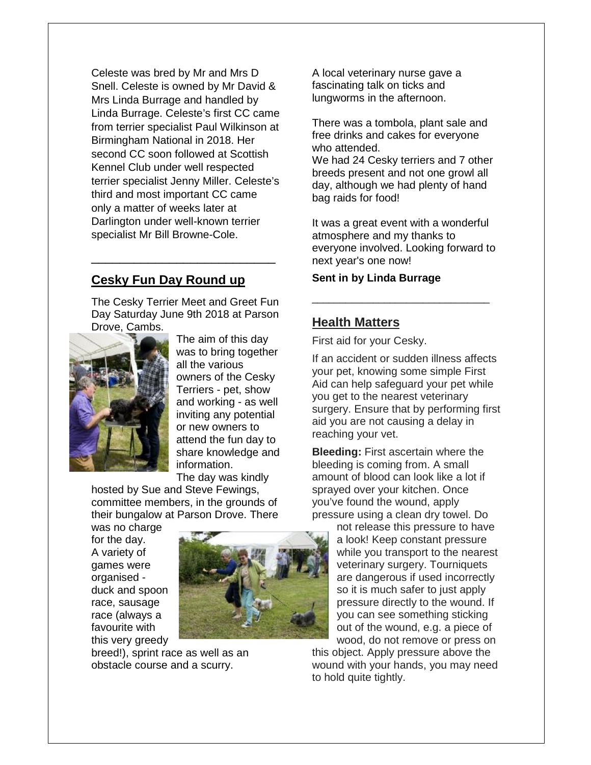Celeste was bred by Mr and Mrs D Snell. Celeste is owned by Mr David & Mrs Linda Burrage and handled by Linda Burrage. Celeste's first CC came from terrier specialist Paul Wilkinson at Birmingham National in 2018. Her second CC soon followed at Scottish Kennel Club under well respected terrier specialist Jenny Miller. Celeste's third and most important CC came only a matter of weeks later at Darlington under well-known terrier specialist Mr Bill Browne-Cole.

#### **Cesky Fun Day Round up**

The Cesky Terrier Meet and Greet Fun Day Saturday June 9th 2018 at Parson Drove, Cambs.

\_\_\_\_\_\_\_\_\_\_\_\_\_\_\_\_\_\_\_\_\_\_\_\_\_\_



The aim of this day was to bring together all the various owners of the Cesky Terriers - pet, show and working - as well inviting any potential or new owners to attend the fun day to share knowledge and information. The day was kindly

hosted by Sue and Steve Fewings, committee members, in the grounds of their bungalow at Parson Drove. There

was no charge for the day. A variety of games were organised duck and spoon race, sausage race (always a favourite with this very areedy



breed!), sprint race as well as an obstacle course and a scurry.

A local veterinary nurse gave a fascinating talk on ticks and lungworms in the afternoon.

There was a tombola, plant sale and free drinks and cakes for everyone who attended. We had 24 Cesky terriers and 7 other breeds present and not one growl all day, although we had plenty of hand bag raids for food!

It was a great event with a wonderful atmosphere and my thanks to everyone involved. Looking forward to next year's one now!

\_\_\_\_\_\_\_\_\_\_\_\_\_\_\_\_\_\_\_\_\_\_\_\_\_\_\_\_\_\_\_\_

#### **Sent in by Linda Burrage**

#### **Health Matters**

First aid for your Cesky.

If an accident or sudden illness affects your pet, knowing some simple First Aid can help safeguard your pet while you get to the nearest veterinary surgery. Ensure that by performing first aid you are not causing a delay in reaching your vet.

**Bleeding:** First ascertain where the bleeding is coming from. A small amount of blood can look like a lot if sprayed over your kitchen. Once you've found the wound, apply pressure using a clean dry towel. Do

not release this pressure to have a look! Keep constant pressure while you transport to the nearest veterinary surgery. Tourniquets are dangerous if used incorrectly so it is much safer to just apply pressure directly to the wound. If you can see something sticking out of the wound, e.g. a piece of wood, do not remove or press on

this object. Apply pressure above the wound with your hands, you may need to hold quite tightly.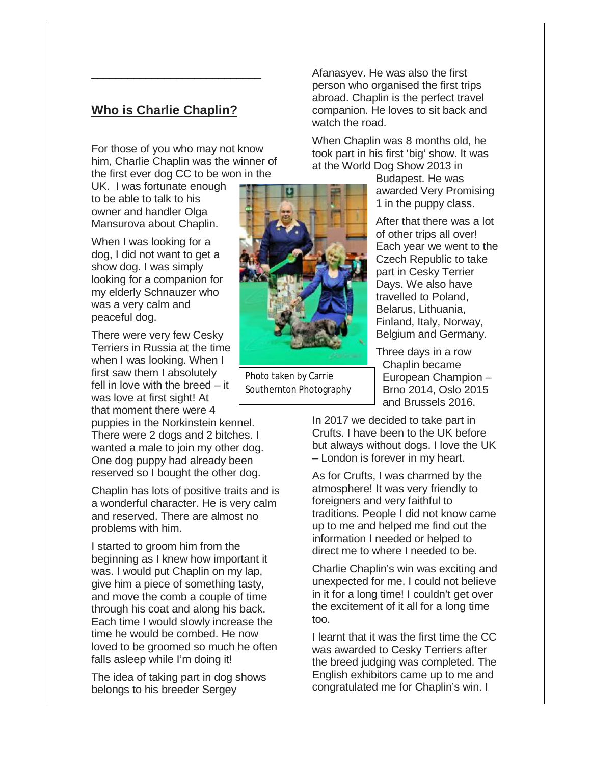# **Who is Charlie Chaplin?** who is Charlie Chaplin?<br>Tho is Charlie Chaplin?<br>For those of you who may not know

\_\_\_\_\_\_\_\_\_\_\_\_\_\_\_\_\_\_\_\_\_\_\_\_\_\_\_\_

him, Charlie Chaplin was the winner of the first ever dog CC to be won in the

UK. I was fortunate enough to be able to talk to his owner and handler Olga Mansurova about Chaplin.

When I was looking for a dog, I did not want to get a show dog. I was simply looking for a companion for my elderly Schnauzer who was a very calm and peaceful dog.

There were very few Cesky Terriers in Russia at the time when I was looking. When I first saw them I absolutely fell in love with the breed – it was love at first sight! At that moment there were 4

puppies in the Norkinstein kennel. There were 2 dogs and 2 bitches. I wanted a male to join my other dog. One dog puppy had already been reserved so I bought the other dog.<br>Chaplin has lots of positive traits ar

Chaplin has lots of positive traits and is a wonderful character. He is very calm and reserved. There are almost no problems with him.

I started to groom him from the beginning as I knew how important it was. I would put Chaplin on my lap, give him a piece of something tasty, and move the comb a couple of time through his coat and along his back. Each time I would slowly increase the time he would be combed. He now loved to be groomed so much he often falls asleep while I'm doing it! a wonderful character. He is very calr<br>and reserved. There are almost no<br>problems with him.<br>I started to groom him from the<br>beginning as I knew how important it<br>was. I would put Chaplin on my lap,<br>give him a piece of somet

The idea of taking part in dog shows belongs to his breeder Sergey

person who organised the first trips abroad. Chaplin is the perfect travel companion. He loves to sit back and watch the road.

When Chaplin was 8 months old, he took part in his first 'big' show. It was at the World Dog Show 2013 in

> Budapest. He was awarded Very Promising 1 in the puppy class.

After that there was a lot of other trips all over! Each year we went to the Czech Republic to take part in Cesky Terrier Days. We also have travelled to Poland, Belarus, Lithuania, Finland, Italy, Norway, Belgium and Germany. m Chaplin was 8 months old, he<br>part in his first 'big' show. It was<br>e World Dog Show 2013 in<br>Budapest. He was<br>awarded Very Promising<br>1 in the puppy class.<br>After that there was a lo<br>of other trips all over!<br>Each year we wen part in Cesky<br>Days. We als<br>travelled to P<br>Belarus, Lithu<br>Finland, Italy,<br>Belgium and

> Three days in a row Chaplin became European Champion Champion – Brno 2014, Oslo 2015 and Brussels 2016.

In 2017 we decided to take part in Crufts. I have been to the UK before but always without dogs. I love the UK – London is forever in my heart. but always without dogs. I love t<br>– London is forever in my heart.<br>As for Crufts, I was charmed by

As for Crufts, I was charmed by the atmosphere! It was very friendly to foreigners and very faithful to traditions. People I did not know came up to me and helped me find out the information I needed or helped to direct me to where I needed to be.

Charlie Chaplin's win was exciting and unexpected for me. I could not believe in it for a long time! I couldn't get over the excitement of it all for a long time too. Charlie Chaplin's win was exciting and<br>unexpected for me. I could not believe<br>in it for a long time! I couldn't get over

I learnt that it was the first time the CC was awarded to Cesky Terriers after the breed judging was completed. The English exhibitors came up to me and congratulated me for Chaplin's win. I learnt that it was the first time the<br>vas awarded to Cesky Terriers af<br>ne breed judging was completed.<br>inglish exhibitors came up to me<br>ongratulated me for Chaplin's wir



Photo taken by Carrie Southernton Photography